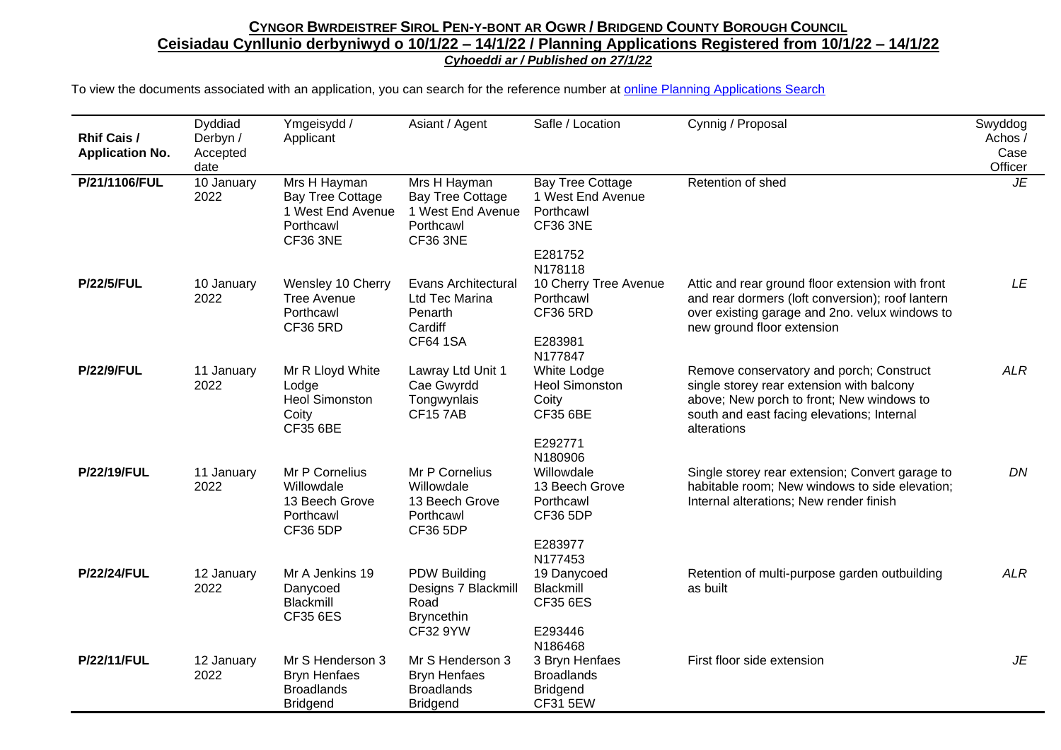| <b>Rhif Cais /</b><br><b>Application No.</b> | Dyddiad<br>Derbyn /<br>Accepted<br>date | Ymgeisydd /<br>Applicant                                                                     | Asiant / Agent                                                                               | Safle / Location                                                                                   | Cynnig / Proposal                                                                                                                                                                               | Swyddog<br>Achos /<br>Case<br>Officer |
|----------------------------------------------|-----------------------------------------|----------------------------------------------------------------------------------------------|----------------------------------------------------------------------------------------------|----------------------------------------------------------------------------------------------------|-------------------------------------------------------------------------------------------------------------------------------------------------------------------------------------------------|---------------------------------------|
| P/21/1106/FUL                                | 10 January<br>2022                      | Mrs H Hayman<br><b>Bay Tree Cottage</b><br>1 West End Avenue<br>Porthcawl<br><b>CF36 3NE</b> | Mrs H Hayman<br><b>Bay Tree Cottage</b><br>1 West End Avenue<br>Porthcawl<br><b>CF36 3NE</b> | <b>Bay Tree Cottage</b><br>1 West End Avenue<br>Porthcawl<br><b>CF36 3NE</b><br>E281752<br>N178118 | Retention of shed                                                                                                                                                                               | JE                                    |
| <b>P/22/5/FUL</b>                            | 10 January<br>2022                      | Wensley 10 Cherry<br><b>Tree Avenue</b><br>Porthcawl<br><b>CF36 5RD</b>                      | <b>Evans Architectural</b><br>Ltd Tec Marina<br>Penarth<br>Cardiff<br><b>CF64 1SA</b>        | 10 Cherry Tree Avenue<br>Porthcawl<br><b>CF36 5RD</b><br>E283981<br>N177847                        | Attic and rear ground floor extension with front<br>and rear dormers (loft conversion); roof lantern<br>over existing garage and 2no. velux windows to<br>new ground floor extension            | LE                                    |
| <b>P/22/9/FUL</b>                            | 11 January<br>2022                      | Mr R Lloyd White<br>Lodge<br><b>Heol Simonston</b><br>Coity<br><b>CF35 6BE</b>               | Lawray Ltd Unit 1<br>Cae Gwyrdd<br>Tongwynlais<br><b>CF157AB</b>                             | White Lodge<br><b>Heol Simonston</b><br>Coity<br><b>CF35 6BE</b><br>E292771<br>N180906             | Remove conservatory and porch; Construct<br>single storey rear extension with balcony<br>above; New porch to front; New windows to<br>south and east facing elevations; Internal<br>alterations | <b>ALR</b>                            |
| <b>P/22/19/FUL</b>                           | 11 January<br>2022                      | Mr P Cornelius<br>Willowdale<br>13 Beech Grove<br>Porthcawl<br><b>CF36 5DP</b>               | Mr P Cornelius<br>Willowdale<br>13 Beech Grove<br>Porthcawl<br><b>CF36 5DP</b>               | Willowdale<br>13 Beech Grove<br>Porthcawl<br><b>CF36 5DP</b><br>E283977<br>N177453                 | Single storey rear extension; Convert garage to<br>habitable room; New windows to side elevation;<br>Internal alterations; New render finish                                                    | DN                                    |
| <b>P/22/24/FUL</b>                           | 12 January<br>2022                      | Mr A Jenkins 19<br>Danycoed<br><b>Blackmill</b><br>CF35 6ES                                  | <b>PDW Building</b><br>Designs 7 Blackmill<br>Road<br><b>Bryncethin</b><br><b>CF32 9YW</b>   | 19 Danycoed<br>Blackmill<br>CF35 6ES<br>E293446<br>N186468                                         | Retention of multi-purpose garden outbuilding<br>as built                                                                                                                                       | <b>ALR</b>                            |
| <b>P/22/11/FUL</b>                           | 12 January<br>2022                      | Mr S Henderson 3<br><b>Bryn Henfaes</b><br><b>Broadlands</b><br><b>Bridgend</b>              | Mr S Henderson 3<br><b>Bryn Henfaes</b><br><b>Broadlands</b><br><b>Bridgend</b>              | 3 Bryn Henfaes<br><b>Broadlands</b><br><b>Bridgend</b><br><b>CF31 5EW</b>                          | First floor side extension                                                                                                                                                                      | JE                                    |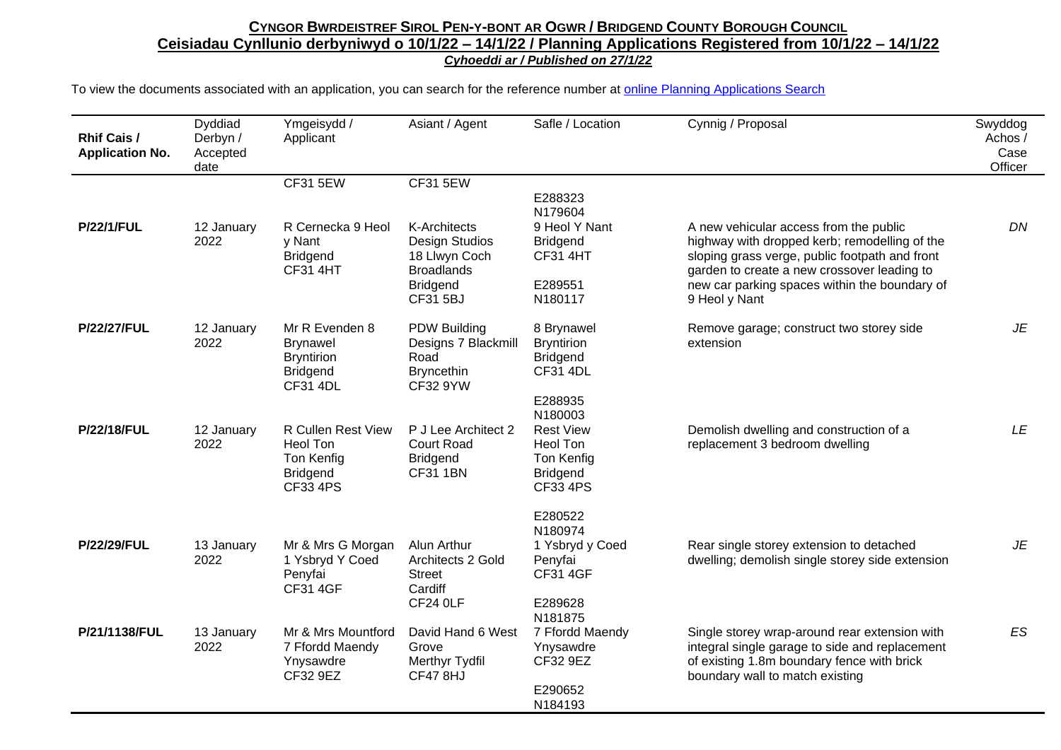| Rhif Cais /<br><b>Application No.</b> | Dyddiad<br>Derbyn /<br>Accepted<br>date | Ymgeisydd /<br>Applicant                                                                     | Asiant / Agent                                                                             | Safle / Location                                                                                       | Cynnig / Proposal                                                                                                                                                                        | Swyddog<br>Achos /<br>Case<br>Officer |
|---------------------------------------|-----------------------------------------|----------------------------------------------------------------------------------------------|--------------------------------------------------------------------------------------------|--------------------------------------------------------------------------------------------------------|------------------------------------------------------------------------------------------------------------------------------------------------------------------------------------------|---------------------------------------|
|                                       |                                         | <b>CF31 5EW</b>                                                                              | <b>CF31 5EW</b>                                                                            |                                                                                                        |                                                                                                                                                                                          |                                       |
|                                       |                                         |                                                                                              |                                                                                            | E288323<br>N179604                                                                                     |                                                                                                                                                                                          |                                       |
| <b>P/22/1/FUL</b>                     | 12 January<br>2022                      | R Cernecka 9 Heol<br>y Nant<br><b>Bridgend</b><br><b>CF31 4HT</b>                            | <b>K-Architects</b><br>Design Studios<br>18 Llwyn Coch<br><b>Broadlands</b>                | 9 Heol Y Nant<br><b>Bridgend</b><br><b>CF31 4HT</b>                                                    | A new vehicular access from the public<br>highway with dropped kerb; remodelling of the<br>sloping grass verge, public footpath and front<br>garden to create a new crossover leading to | DN                                    |
|                                       |                                         |                                                                                              | <b>Bridgend</b><br><b>CF31 5BJ</b>                                                         | E289551<br>N180117                                                                                     | new car parking spaces within the boundary of<br>9 Heol y Nant                                                                                                                           |                                       |
| <b>P/22/27/FUL</b>                    | 12 January<br>2022                      | Mr R Evenden 8<br><b>Brynawel</b><br><b>Bryntirion</b><br><b>Bridgend</b><br><b>CF31 4DL</b> | <b>PDW Building</b><br>Designs 7 Blackmill<br>Road<br><b>Bryncethin</b><br><b>CF32 9YW</b> | 8 Brynawel<br><b>Bryntirion</b><br><b>Bridgend</b><br><b>CF31 4DL</b>                                  | Remove garage; construct two storey side<br>extension                                                                                                                                    | JE                                    |
| <b>P/22/18/FUL</b>                    | 12 January<br>2022                      | R Cullen Rest View<br>Heol Ton<br>Ton Kenfig<br><b>Bridgend</b><br><b>CF33 4PS</b>           | P J Lee Architect 2<br>Court Road<br><b>Bridgend</b><br><b>CF31 1BN</b>                    | E288935<br>N180003<br><b>Rest View</b><br>Heol Ton<br>Ton Kenfig<br><b>Bridgend</b><br><b>CF33 4PS</b> | Demolish dwelling and construction of a<br>replacement 3 bedroom dwelling                                                                                                                | LE                                    |
|                                       |                                         |                                                                                              |                                                                                            | E280522                                                                                                |                                                                                                                                                                                          |                                       |
| <b>P/22/29/FUL</b>                    | 13 January<br>2022                      | Mr & Mrs G Morgan<br>1 Ysbryd Y Coed<br>Penyfai<br><b>CF31 4GF</b>                           | Alun Arthur<br>Architects 2 Gold<br><b>Street</b><br>Cardiff<br>CF24 0LF                   | N180974<br>1 Ysbryd y Coed<br>Penyfai<br><b>CF31 4GF</b><br>E289628                                    | Rear single storey extension to detached<br>dwelling; demolish single storey side extension                                                                                              | JE                                    |
| P/21/1138/FUL                         | 13 January<br>2022                      | Mr & Mrs Mountford<br>7 Ffordd Maendy<br>Ynysawdre<br>CF32 9EZ                               | David Hand 6 West<br>Grove<br>Merthyr Tydfil<br><b>CF47 8HJ</b>                            | N181875<br>7 Ffordd Maendy<br>Ynysawdre<br>CF32 9EZ<br>E290652<br>N184193                              | Single storey wrap-around rear extension with<br>integral single garage to side and replacement<br>of existing 1.8m boundary fence with brick<br>boundary wall to match existing         | <b>ES</b>                             |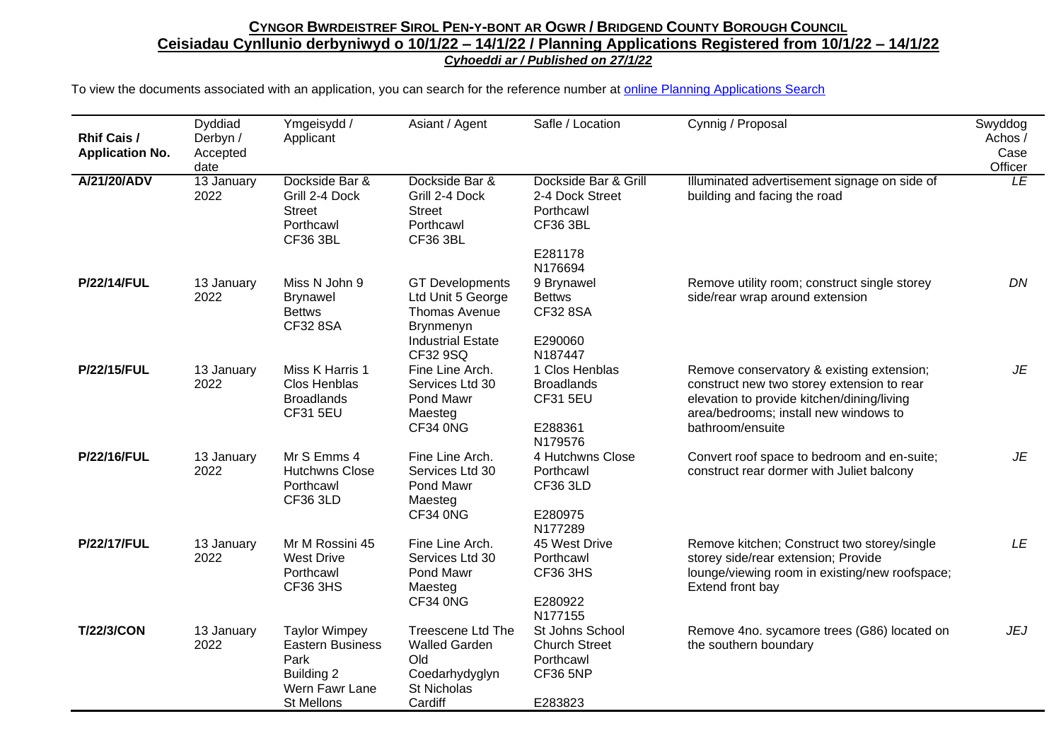| <b>Rhif Cais /</b><br><b>Application No.</b> | Dyddiad<br>Derbyn /<br>Accepted<br>date | Ymgeisydd /<br>Applicant                                                                              | Asiant / Agent                                                                                                    | Safle / Location                                                                              | Cynnig / Proposal                                                                                                                                                                                  | Swyddog<br>Achos /<br>Case<br>Officer |
|----------------------------------------------|-----------------------------------------|-------------------------------------------------------------------------------------------------------|-------------------------------------------------------------------------------------------------------------------|-----------------------------------------------------------------------------------------------|----------------------------------------------------------------------------------------------------------------------------------------------------------------------------------------------------|---------------------------------------|
| A/21/20/ADV                                  | 13 January<br>2022                      | Dockside Bar &<br>Grill 2-4 Dock<br><b>Street</b><br>Porthcawl<br><b>CF36 3BL</b>                     | Dockside Bar &<br>Grill 2-4 Dock<br><b>Street</b><br>Porthcawl<br><b>CF36 3BL</b>                                 | Dockside Bar & Grill<br>2-4 Dock Street<br>Porthcawl<br><b>CF36 3BL</b><br>E281178<br>N176694 | Illuminated advertisement signage on side of<br>building and facing the road                                                                                                                       | LE                                    |
| <b>P/22/14/FUL</b>                           | 13 January<br>2022                      | Miss N John 9<br><b>Brynawel</b><br><b>Bettws</b><br>CF32 8SA                                         | <b>GT Developments</b><br>Ltd Unit 5 George<br>Thomas Avenue<br>Brynmenyn<br><b>Industrial Estate</b><br>CF32 9SQ | 9 Brynawel<br><b>Bettws</b><br>CF32 8SA<br>E290060<br>N187447                                 | Remove utility room; construct single storey<br>side/rear wrap around extension                                                                                                                    | DN                                    |
| <b>P/22/15/FUL</b>                           | 13 January<br>2022                      | Miss K Harris 1<br>Clos Henblas<br><b>Broadlands</b><br><b>CF31 5EU</b>                               | Fine Line Arch.<br>Services Ltd 30<br>Pond Mawr<br>Maesteg<br>CF34 0NG                                            | 1 Clos Henblas<br><b>Broadlands</b><br><b>CF31 5EU</b><br>E288361<br>N179576                  | Remove conservatory & existing extension;<br>construct new two storey extension to rear<br>elevation to provide kitchen/dining/living<br>area/bedrooms; install new windows to<br>bathroom/ensuite | JE                                    |
| <b>P/22/16/FUL</b>                           | 13 January<br>2022                      | Mr S Emms 4<br><b>Hutchwns Close</b><br>Porthcawl<br><b>CF36 3LD</b>                                  | Fine Line Arch.<br>Services Ltd 30<br>Pond Mawr<br>Maesteg<br>CF34 0NG                                            | 4 Hutchwns Close<br>Porthcawl<br><b>CF36 3LD</b><br>E280975<br>N177289                        | Convert roof space to bedroom and en-suite;<br>construct rear dormer with Juliet balcony                                                                                                           | JE                                    |
| <b>P/22/17/FUL</b>                           | 13 January<br>2022                      | Mr M Rossini 45<br><b>West Drive</b><br>Porthcawl<br><b>CF36 3HS</b>                                  | Fine Line Arch.<br>Services Ltd 30<br>Pond Mawr<br>Maesteg<br>CF34 0NG                                            | 45 West Drive<br>Porthcawl<br><b>CF36 3HS</b><br>E280922<br>N177155                           | Remove kitchen; Construct two storey/single<br>storey side/rear extension; Provide<br>lounge/viewing room in existing/new roofspace;<br>Extend front bay                                           | LE                                    |
| <b>T/22/3/CON</b>                            | 13 January<br>2022                      | <b>Taylor Wimpey</b><br><b>Eastern Business</b><br>Park<br>Building 2<br>Wern Fawr Lane<br>St Mellons | <b>Treescene Ltd The</b><br><b>Walled Garden</b><br>Old<br>Coedarhydyglyn<br>St Nicholas<br>Cardiff               | St Johns School<br><b>Church Street</b><br>Porthcawl<br><b>CF36 5NP</b><br>E283823            | Remove 4no. sycamore trees (G86) located on<br>the southern boundary                                                                                                                               | <b>JEJ</b>                            |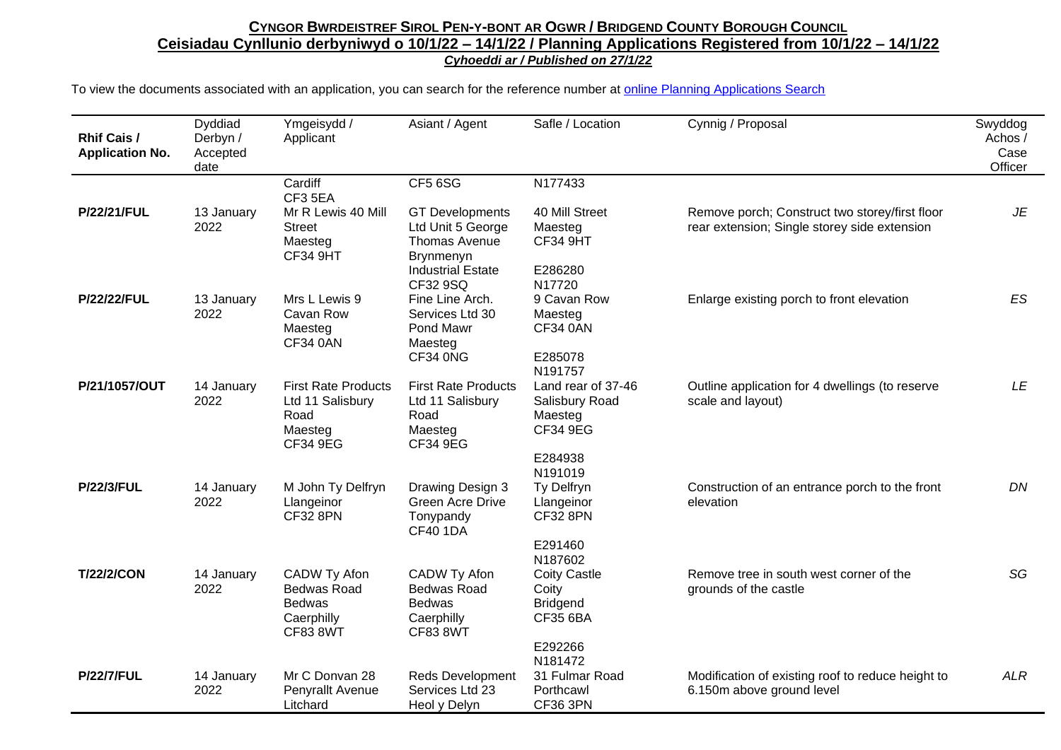| <b>Rhif Cais /</b><br><b>Application No.</b> | Dyddiad<br>Derbyn /<br>Accepted<br>date | Ymgeisydd /<br>Applicant                                                             | Asiant / Agent                                                                                        | Safle / Location                                                              | Cynnig / Proposal                                                                              | Swyddog<br>Achos /<br>Case<br>Officer |
|----------------------------------------------|-----------------------------------------|--------------------------------------------------------------------------------------|-------------------------------------------------------------------------------------------------------|-------------------------------------------------------------------------------|------------------------------------------------------------------------------------------------|---------------------------------------|
|                                              |                                         | Cardiff<br>CF3 5EA                                                                   | CF5 6SG                                                                                               | N177433                                                                       |                                                                                                |                                       |
| <b>P/22/21/FUL</b>                           | 13 January<br>2022                      | Mr R Lewis 40 Mill<br><b>Street</b><br>Maesteg<br>CF34 9HT                           | <b>GT Developments</b><br>Ltd Unit 5 George<br>Thomas Avenue<br>Brynmenyn<br><b>Industrial Estate</b> | 40 Mill Street<br>Maesteg<br><b>CF34 9HT</b><br>E286280                       | Remove porch; Construct two storey/first floor<br>rear extension; Single storey side extension | JE                                    |
|                                              |                                         |                                                                                      | CF32 9SQ                                                                                              | N17720                                                                        |                                                                                                |                                       |
| <b>P/22/22/FUL</b>                           | 13 January<br>2022                      | Mrs L Lewis 9<br>Cavan Row<br>Maesteg<br><b>CF34 0AN</b>                             | Fine Line Arch.<br>Services Ltd 30<br>Pond Mawr<br>Maesteg<br>CF34 0NG                                | 9 Cavan Row<br>Maesteg<br><b>CF34 0AN</b><br>E285078                          | Enlarge existing porch to front elevation                                                      | ES                                    |
|                                              |                                         |                                                                                      |                                                                                                       | N191757                                                                       |                                                                                                |                                       |
| P/21/1057/OUT                                | 14 January<br>2022                      | <b>First Rate Products</b><br>Ltd 11 Salisbury<br>Road<br>Maesteg<br>CF34 9EG        | <b>First Rate Products</b><br>Ltd 11 Salisbury<br>Road<br>Maesteg<br>CF34 9EG                         | Land rear of 37-46<br>Salisbury Road<br>Maesteg<br><b>CF34 9EG</b>            | Outline application for 4 dwellings (to reserve<br>scale and layout)                           | LE                                    |
|                                              |                                         |                                                                                      |                                                                                                       | E284938                                                                       |                                                                                                |                                       |
| <b>P/22/3/FUL</b>                            | 14 January<br>2022                      | M John Ty Delfryn<br>Llangeinor<br><b>CF32 8PN</b>                                   | Drawing Design 3<br><b>Green Acre Drive</b><br>Tonypandy<br><b>CF40 1DA</b>                           | N191019<br>Ty Delfryn<br>Llangeinor<br><b>CF32 8PN</b>                        | Construction of an entrance porch to the front<br>elevation                                    | DN                                    |
|                                              |                                         |                                                                                      |                                                                                                       | E291460                                                                       |                                                                                                |                                       |
| <b>T/22/2/CON</b>                            | 14 January<br>2022                      | CADW Ty Afon<br><b>Bedwas Road</b><br><b>Bedwas</b><br>Caerphilly<br><b>CF83 8WT</b> | CADW Ty Afon<br><b>Bedwas Road</b><br><b>Bedwas</b><br>Caerphilly<br><b>CF83 8WT</b>                  | N187602<br><b>Coity Castle</b><br>Coity<br><b>Bridgend</b><br><b>CF35 6BA</b> | Remove tree in south west corner of the<br>grounds of the castle                               | SG                                    |
|                                              |                                         |                                                                                      |                                                                                                       | E292266                                                                       |                                                                                                |                                       |
| <b>P/22/7/FUL</b>                            | 14 January<br>2022                      | Mr C Donvan 28<br>Penyrallt Avenue<br>Litchard                                       | <b>Reds Development</b><br>Services Ltd 23<br>Heol y Delyn                                            | N181472<br>31 Fulmar Road<br>Porthcawl<br><b>CF36 3PN</b>                     | Modification of existing roof to reduce height to<br>6.150m above ground level                 | <b>ALR</b>                            |